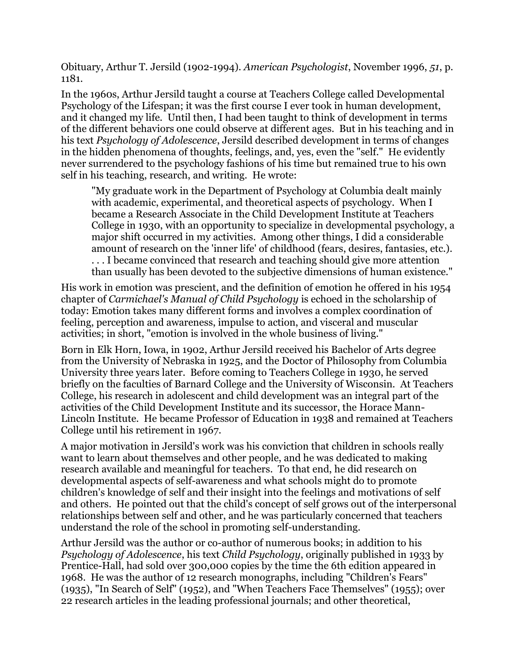Obituary, Arthur T. Jersild (1902-1994). *American Psychologist*, November 1996, *51*, p. 1181.

In the 1960s, Arthur Jersild taught a course at Teachers College called Developmental Psychology of the Lifespan; it was the first course I ever took in human development, and it changed my life. Until then, I had been taught to think of development in terms of the different behaviors one could observe at different ages. But in his teaching and in his text *Psychology of Adolescence*, Jersild described development in terms of changes in the hidden phenomena of thoughts, feelings, and, yes, even the "self." He evidently never surrendered to the psychology fashions of his time but remained true to his own self in his teaching, research, and writing. He wrote:

"My graduate work in the Department of Psychology at Columbia dealt mainly with academic, experimental, and theoretical aspects of psychology. When I became a Research Associate in the Child Development Institute at Teachers College in 1930, with an opportunity to specialize in developmental psychology, a major shift occurred in my activities. Among other things, I did a considerable amount of research on the 'inner life' of childhood (fears, desires, fantasies, etc.). . . . I became convinced that research and teaching should give more attention than usually has been devoted to the subjective dimensions of human existence."

His work in emotion was prescient, and the definition of emotion he offered in his 1954 chapter of *Carmichael's Manual of Child Psychology* is echoed in the scholarship of today: Emotion takes many different forms and involves a complex coordination of feeling, perception and awareness, impulse to action, and visceral and muscular activities; in short, "emotion is involved in the whole business of living."

Born in Elk Horn, Iowa, in 1902, Arthur Jersild received his Bachelor of Arts degree from the University of Nebraska in 1925, and the Doctor of Philosophy from Columbia University three years later. Before coming to Teachers College in 1930, he served briefly on the faculties of Barnard College and the University of Wisconsin. At Teachers College, his research in adolescent and child development was an integral part of the activities of the Child Development Institute and its successor, the Horace Mann-Lincoln Institute. He became Professor of Education in 1938 and remained at Teachers College until his retirement in 1967.

A major motivation in Jersild's work was his conviction that children in schools really want to learn about themselves and other people, and he was dedicated to making research available and meaningful for teachers. To that end, he did research on developmental aspects of self-awareness and what schools might do to promote children's knowledge of self and their insight into the feelings and motivations of self and others. He pointed out that the child's concept of self grows out of the interpersonal relationships between self and other, and he was particularly concerned that teachers understand the role of the school in promoting self-understanding.

Arthur Jersild was the author or co-author of numerous books; in addition to his *Psychology of Adolescence*, his text *Child Psychology*, originally published in 1933 by Prentice-Hall, had sold over 300,000 copies by the time the 6th edition appeared in 1968. He was the author of 12 research monographs, including "Children's Fears" (1935), "In Search of Self" (1952), and "When Teachers Face Themselves" (1955); over 22 research articles in the leading professional journals; and other theoretical,